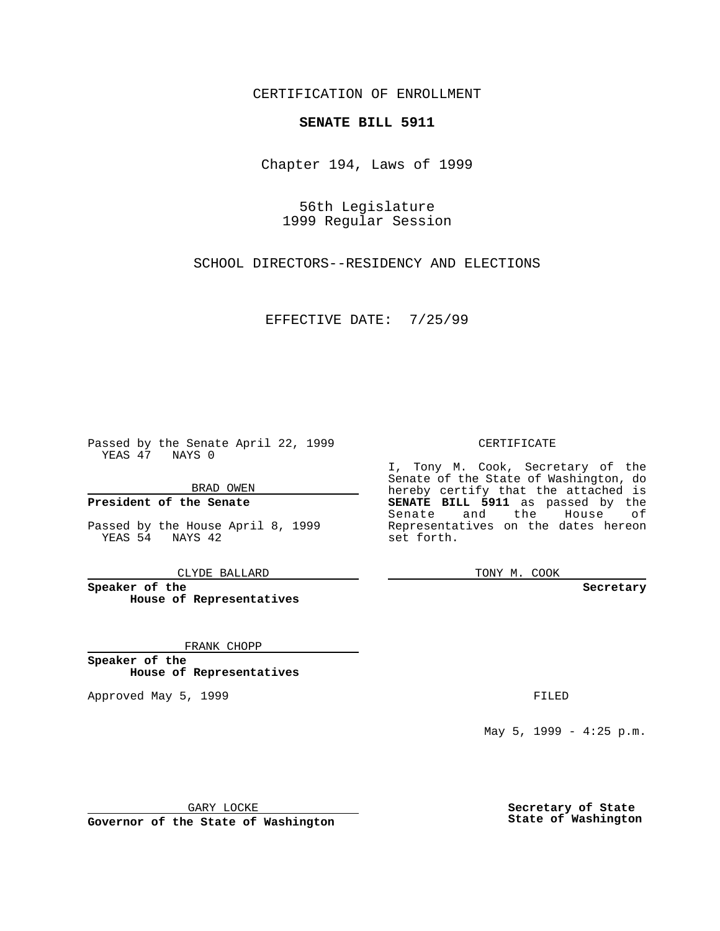CERTIFICATION OF ENROLLMENT

## **SENATE BILL 5911**

Chapter 194, Laws of 1999

56th Legislature 1999 Regular Session

SCHOOL DIRECTORS--RESIDENCY AND ELECTIONS

EFFECTIVE DATE: 7/25/99

Passed by the Senate April 22, 1999 YEAS 47 NAYS 0

BRAD OWEN

**President of the Senate**

Passed by the House April 8, 1999 YEAS 54 NAYS 42

CLYDE BALLARD

**Speaker of the House of Representatives**

FRANK CHOPP

**Speaker of the House of Representatives**

Approved May 5, 1999 **FILED** 

CERTIFICATE

I, Tony M. Cook, Secretary of the Senate of the State of Washington, do hereby certify that the attached is **SENATE BILL 5911** as passed by the Senate and the House of Representatives on the dates hereon set forth.

TONY M. COOK

**Secretary**

May 5, 1999 - 4:25 p.m.

GARY LOCKE

**Governor of the State of Washington**

**Secretary of State State of Washington**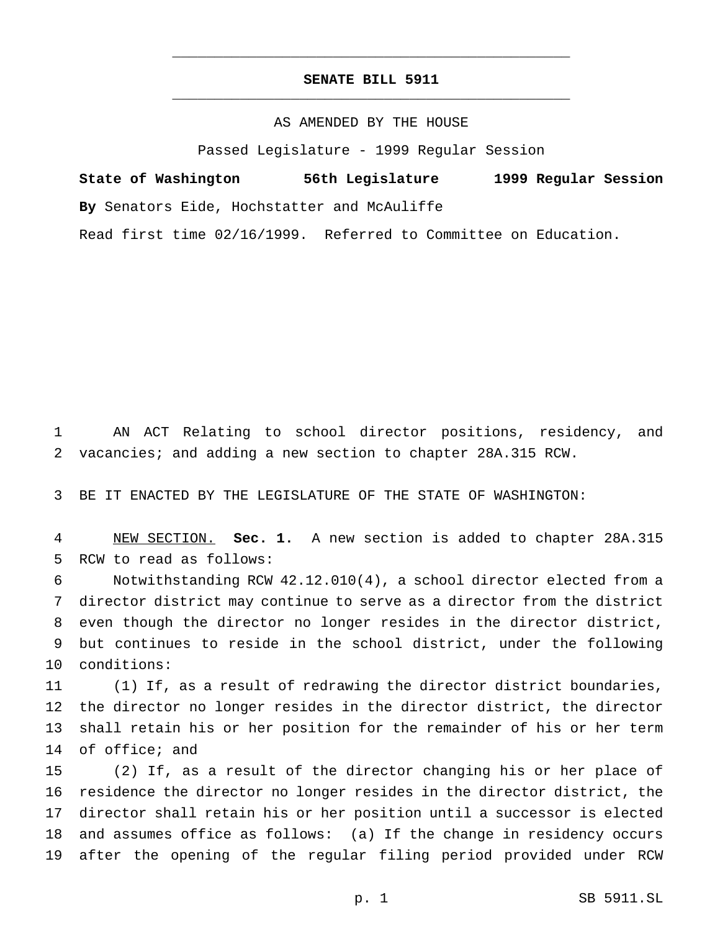## **SENATE BILL 5911** \_\_\_\_\_\_\_\_\_\_\_\_\_\_\_\_\_\_\_\_\_\_\_\_\_\_\_\_\_\_\_\_\_\_\_\_\_\_\_\_\_\_\_\_\_\_\_

\_\_\_\_\_\_\_\_\_\_\_\_\_\_\_\_\_\_\_\_\_\_\_\_\_\_\_\_\_\_\_\_\_\_\_\_\_\_\_\_\_\_\_\_\_\_\_

## AS AMENDED BY THE HOUSE

Passed Legislature - 1999 Regular Session

**State of Washington 56th Legislature 1999 Regular Session By** Senators Eide, Hochstatter and McAuliffe Read first time 02/16/1999. Referred to Committee on Education.

 AN ACT Relating to school director positions, residency, and vacancies; and adding a new section to chapter 28A.315 RCW.

BE IT ENACTED BY THE LEGISLATURE OF THE STATE OF WASHINGTON:

 NEW SECTION. **Sec. 1.** A new section is added to chapter 28A.315 RCW to read as follows:

 Notwithstanding RCW 42.12.010(4), a school director elected from a director district may continue to serve as a director from the district even though the director no longer resides in the director district, but continues to reside in the school district, under the following conditions:

 (1) If, as a result of redrawing the director district boundaries, the director no longer resides in the director district, the director shall retain his or her position for the remainder of his or her term of office; and

 (2) If, as a result of the director changing his or her place of residence the director no longer resides in the director district, the director shall retain his or her position until a successor is elected and assumes office as follows: (a) If the change in residency occurs after the opening of the regular filing period provided under RCW